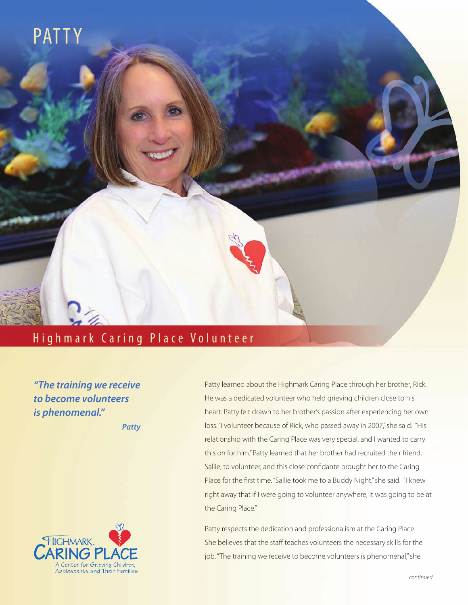

## Highmark Caring Place Volunteer

*"The training we receive to become volunteers is phenomenal."*

*Patty*



Patty learned about the Highmark Caring Place through her brother, Rick. He was a dedicated volunteer who held grieving children close to his heart. Patty felt drawn to her brother's passion after experiencing her own loss. "I volunteer because of Rick, who passed away in 2007," she said. "His relationship with the Caring Place was very special, and I wanted to carry this on for him." Patty learned that her brother had recruited their friend, Sallie, to volunteer, and this close confidante brought her to the Caring Place for the first time. "Sallie took me to a Buddy Night," she said. "I knew right away that if I were going to volunteer anywhere, it was going to be at the Caring Place."

Patty respects the dedication and professionalism at the Caring Place. She believes that the staff teaches volunteers the necessary skills for the job. "The training we receive to become volunteers is phenomenal," she